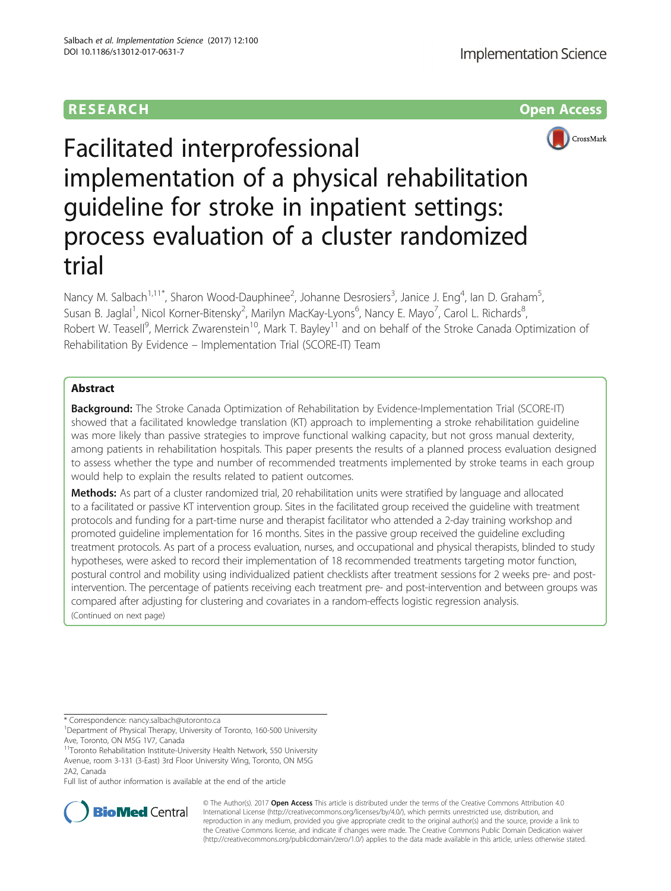# **RESEARCH CHILD CONTROL** CONTROL CONTROL CONTROL CONTROL CONTROL CONTROL CONTROL CONTROL CONTROL CONTROL CONTROL CONTROL CONTROL CONTROL CONTROL CONTROL CONTROL CONTROL CONTROL CONTROL CONTROL CONTROL CONTROL CONTROL CONTR



Facilitated interprofessional implementation of a physical rehabilitation guideline for stroke in inpatient settings: process evaluation of a cluster randomized trial

Nancy M. Salbach<sup>1,11\*</sup>, Sharon Wood-Dauphinee<sup>2</sup>, Johanne Desrosiers<sup>3</sup>, Janice J. Eng<sup>4</sup>, Ian D. Graham<sup>5</sup> , Susan B. Jaglal<sup>1</sup>, Nicol Korner-Bitensky<sup>2</sup>, Marilyn MacKay-Lyons<sup>6</sup>, Nancy E. Mayo<sup>7</sup>, Carol L. Richards<sup>8</sup> , Robert W. Teasell<sup>9</sup>, Merrick Zwarenstein<sup>10</sup>, Mark T. Bayley<sup>11</sup> and on behalf of the Stroke Canada Optimization of Rehabilitation By Evidence – Implementation Trial (SCORE-IT) Team

# Abstract

**Background:** The Stroke Canada Optimization of Rehabilitation by Evidence-Implementation Trial (SCORE-IT) showed that a facilitated knowledge translation (KT) approach to implementing a stroke rehabilitation guideline was more likely than passive strategies to improve functional walking capacity, but not gross manual dexterity, among patients in rehabilitation hospitals. This paper presents the results of a planned process evaluation designed to assess whether the type and number of recommended treatments implemented by stroke teams in each group would help to explain the results related to patient outcomes.

Methods: As part of a cluster randomized trial, 20 rehabilitation units were stratified by language and allocated to a facilitated or passive KT intervention group. Sites in the facilitated group received the guideline with treatment protocols and funding for a part-time nurse and therapist facilitator who attended a 2-day training workshop and promoted guideline implementation for 16 months. Sites in the passive group received the guideline excluding treatment protocols. As part of a process evaluation, nurses, and occupational and physical therapists, blinded to study hypotheses, were asked to record their implementation of 18 recommended treatments targeting motor function, postural control and mobility using individualized patient checklists after treatment sessions for 2 weeks pre- and postintervention. The percentage of patients receiving each treatment pre- and post-intervention and between groups was compared after adjusting for clustering and covariates in a random-effects logistic regression analysis. (Continued on next page)

\* Correspondence: [nancy.salbach@utoronto.ca](mailto:nancy.salbach@utoronto.ca) <sup>1</sup>

<sup>1</sup>Department of Physical Therapy, University of Toronto, 160-500 University Ave, Toronto, ON M5G 1V7, Canada

<sup>11</sup>Toronto Rehabilitation Institute-University Health Network, 550 University Avenue, room 3-131 (3-East) 3rd Floor University Wing, Toronto, ON M5G 2A2, Canada

Full list of author information is available at the end of the article



© The Author(s). 2017 **Open Access** This article is distributed under the terms of the Creative Commons Attribution 4.0 International License [\(http://creativecommons.org/licenses/by/4.0/](http://creativecommons.org/licenses/by/4.0/)), which permits unrestricted use, distribution, and reproduction in any medium, provided you give appropriate credit to the original author(s) and the source, provide a link to the Creative Commons license, and indicate if changes were made. The Creative Commons Public Domain Dedication waiver [\(http://creativecommons.org/publicdomain/zero/1.0/](http://creativecommons.org/publicdomain/zero/1.0/)) applies to the data made available in this article, unless otherwise stated.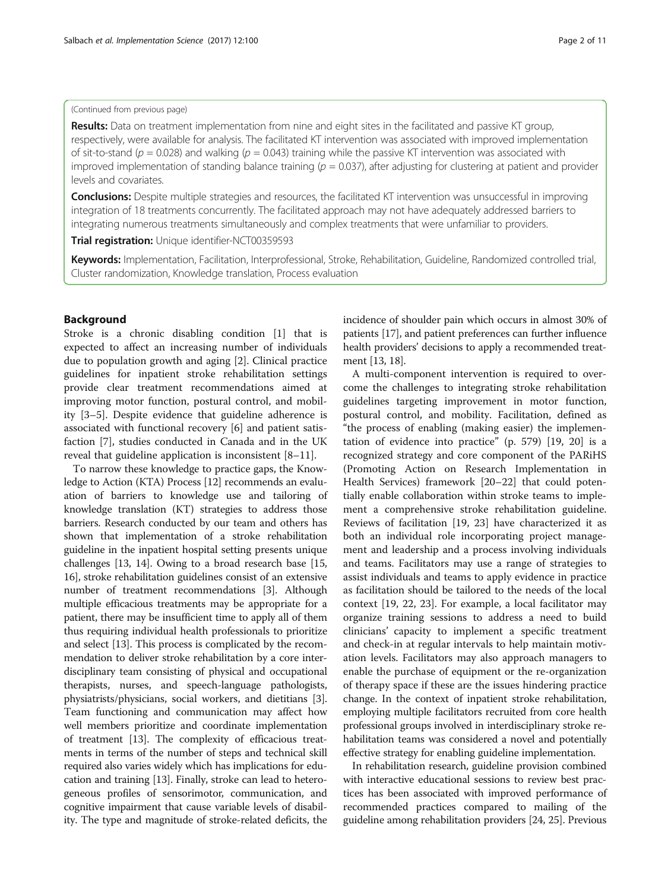(Continued from previous page)

**Results:** Data on treatment implementation from nine and eight sites in the facilitated and passive KT group, respectively, were available for analysis. The facilitated KT intervention was associated with improved implementation of sit-to-stand ( $p = 0.028$ ) and walking ( $p = 0.043$ ) training while the passive KT intervention was associated with improved implementation of standing balance training ( $p = 0.037$ ), after adjusting for clustering at patient and provider levels and covariates.

**Conclusions:** Despite multiple strategies and resources, the facilitated KT intervention was unsuccessful in improving integration of 18 treatments concurrently. The facilitated approach may not have adequately addressed barriers to integrating numerous treatments simultaneously and complex treatments that were unfamiliar to providers.

Trial registration: Unique identifier-[NCT00359593](https://www.clinicaltrials.gov/ct2/show/NCT00359593?term=NCT00359593&rank=1)

Keywords: Implementation, Facilitation, Interprofessional, Stroke, Rehabilitation, Guideline, Randomized controlled trial, Cluster randomization, Knowledge translation, Process evaluation

# Background

Stroke is a chronic disabling condition [[1\]](#page-9-0) that is expected to affect an increasing number of individuals due to population growth and aging [[2\]](#page-9-0). Clinical practice guidelines for inpatient stroke rehabilitation settings provide clear treatment recommendations aimed at improving motor function, postural control, and mobility [[3](#page-9-0)–[5](#page-9-0)]. Despite evidence that guideline adherence is associated with functional recovery [[6\]](#page-10-0) and patient satisfaction [[7](#page-10-0)], studies conducted in Canada and in the UK reveal that guideline application is inconsistent [\[8](#page-10-0)–[11\]](#page-10-0).

To narrow these knowledge to practice gaps, the Knowledge to Action (KTA) Process [\[12\]](#page-10-0) recommends an evaluation of barriers to knowledge use and tailoring of knowledge translation (KT) strategies to address those barriers. Research conducted by our team and others has shown that implementation of a stroke rehabilitation guideline in the inpatient hospital setting presents unique challenges [[13](#page-10-0), [14\]](#page-10-0). Owing to a broad research base [[15](#page-10-0), [16](#page-10-0)], stroke rehabilitation guidelines consist of an extensive number of treatment recommendations [\[3](#page-9-0)]. Although multiple efficacious treatments may be appropriate for a patient, there may be insufficient time to apply all of them thus requiring individual health professionals to prioritize and select [[13](#page-10-0)]. This process is complicated by the recommendation to deliver stroke rehabilitation by a core interdisciplinary team consisting of physical and occupational therapists, nurses, and speech-language pathologists, physiatrists/physicians, social workers, and dietitians [[3](#page-9-0)]. Team functioning and communication may affect how well members prioritize and coordinate implementation of treatment [[13](#page-10-0)]. The complexity of efficacious treatments in terms of the number of steps and technical skill required also varies widely which has implications for education and training [[13](#page-10-0)]. Finally, stroke can lead to heterogeneous profiles of sensorimotor, communication, and cognitive impairment that cause variable levels of disability. The type and magnitude of stroke-related deficits, the

incidence of shoulder pain which occurs in almost 30% of patients [[17](#page-10-0)], and patient preferences can further influence health providers' decisions to apply a recommended treatment [\[13, 18](#page-10-0)].

A multi-component intervention is required to overcome the challenges to integrating stroke rehabilitation guidelines targeting improvement in motor function, postural control, and mobility. Facilitation, defined as "the process of enabling (making easier) the implementation of evidence into practice" (p. 579) [[19, 20](#page-10-0)] is a recognized strategy and core component of the PARiHS (Promoting Action on Research Implementation in Health Services) framework [[20](#page-10-0)–[22](#page-10-0)] that could potentially enable collaboration within stroke teams to implement a comprehensive stroke rehabilitation guideline. Reviews of facilitation [[19, 23\]](#page-10-0) have characterized it as both an individual role incorporating project management and leadership and a process involving individuals and teams. Facilitators may use a range of strategies to assist individuals and teams to apply evidence in practice as facilitation should be tailored to the needs of the local context [[19, 22](#page-10-0), [23\]](#page-10-0). For example, a local facilitator may organize training sessions to address a need to build clinicians' capacity to implement a specific treatment and check-in at regular intervals to help maintain motivation levels. Facilitators may also approach managers to enable the purchase of equipment or the re-organization of therapy space if these are the issues hindering practice change. In the context of inpatient stroke rehabilitation, employing multiple facilitators recruited from core health professional groups involved in interdisciplinary stroke rehabilitation teams was considered a novel and potentially effective strategy for enabling guideline implementation.

In rehabilitation research, guideline provision combined with interactive educational sessions to review best practices has been associated with improved performance of recommended practices compared to mailing of the guideline among rehabilitation providers [\[24](#page-10-0), [25](#page-10-0)]. Previous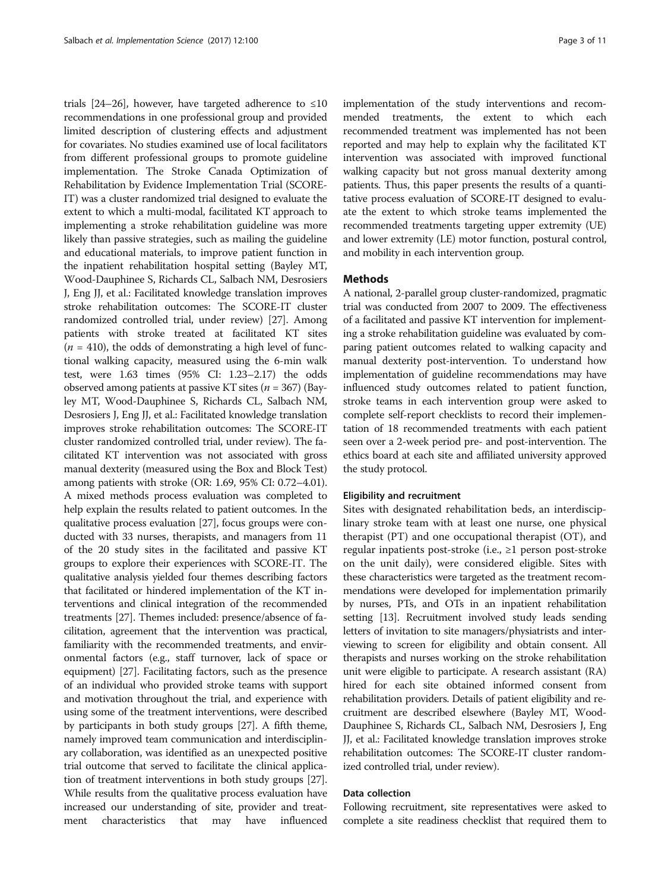trials [[24](#page-10-0)–[26\]](#page-10-0), however, have targeted adherence to  $\leq 10$ recommendations in one professional group and provided limited description of clustering effects and adjustment for covariates. No studies examined use of local facilitators from different professional groups to promote guideline implementation. The Stroke Canada Optimization of Rehabilitation by Evidence Implementation Trial (SCORE-IT) was a cluster randomized trial designed to evaluate the extent to which a multi-modal, facilitated KT approach to implementing a stroke rehabilitation guideline was more likely than passive strategies, such as mailing the guideline and educational materials, to improve patient function in the inpatient rehabilitation hospital setting (Bayley MT, Wood-Dauphinee S, Richards CL, Salbach NM, Desrosiers J, Eng JJ, et al.: Facilitated knowledge translation improves stroke rehabilitation outcomes: The SCORE-IT cluster randomized controlled trial, under review) [\[27\]](#page-10-0). Among patients with stroke treated at facilitated KT sites  $(n = 410)$ , the odds of demonstrating a high level of functional walking capacity, measured using the 6-min walk test, were 1.63 times (95% CI: 1.23–2.17) the odds observed among patients at passive KT sites ( $n = 367$ ) (Bayley MT, Wood-Dauphinee S, Richards CL, Salbach NM, Desrosiers J, Eng JJ, et al.: Facilitated knowledge translation improves stroke rehabilitation outcomes: The SCORE-IT cluster randomized controlled trial, under review). The facilitated KT intervention was not associated with gross manual dexterity (measured using the Box and Block Test) among patients with stroke (OR: 1.69, 95% CI: 0.72–4.01). A mixed methods process evaluation was completed to help explain the results related to patient outcomes. In the qualitative process evaluation [\[27](#page-10-0)], focus groups were conducted with 33 nurses, therapists, and managers from 11 of the 20 study sites in the facilitated and passive KT groups to explore their experiences with SCORE-IT. The qualitative analysis yielded four themes describing factors that facilitated or hindered implementation of the KT interventions and clinical integration of the recommended treatments [\[27\]](#page-10-0). Themes included: presence/absence of facilitation, agreement that the intervention was practical, familiarity with the recommended treatments, and environmental factors (e.g., staff turnover, lack of space or equipment) [\[27\]](#page-10-0). Facilitating factors, such as the presence of an individual who provided stroke teams with support and motivation throughout the trial, and experience with using some of the treatment interventions, were described by participants in both study groups [\[27](#page-10-0)]. A fifth theme, namely improved team communication and interdisciplinary collaboration, was identified as an unexpected positive trial outcome that served to facilitate the clinical application of treatment interventions in both study groups [[27](#page-10-0)]. While results from the qualitative process evaluation have increased our understanding of site, provider and treatment characteristics that may have influenced implementation of the study interventions and recommended treatments, the extent to which each recommended treatment was implemented has not been reported and may help to explain why the facilitated KT intervention was associated with improved functional walking capacity but not gross manual dexterity among patients. Thus, this paper presents the results of a quantitative process evaluation of SCORE-IT designed to evaluate the extent to which stroke teams implemented the recommended treatments targeting upper extremity (UE) and lower extremity (LE) motor function, postural control, and mobility in each intervention group.

# Methods

A national, 2-parallel group cluster-randomized, pragmatic trial was conducted from 2007 to 2009. The effectiveness of a facilitated and passive KT intervention for implementing a stroke rehabilitation guideline was evaluated by comparing patient outcomes related to walking capacity and manual dexterity post-intervention. To understand how implementation of guideline recommendations may have influenced study outcomes related to patient function, stroke teams in each intervention group were asked to complete self-report checklists to record their implementation of 18 recommended treatments with each patient seen over a 2-week period pre- and post-intervention. The ethics board at each site and affiliated university approved the study protocol.

### Eligibility and recruitment

Sites with designated rehabilitation beds, an interdisciplinary stroke team with at least one nurse, one physical therapist (PT) and one occupational therapist (OT), and regular inpatients post-stroke (i.e., ≥1 person post-stroke on the unit daily), were considered eligible. Sites with these characteristics were targeted as the treatment recommendations were developed for implementation primarily by nurses, PTs, and OTs in an inpatient rehabilitation setting [\[13\]](#page-10-0). Recruitment involved study leads sending letters of invitation to site managers/physiatrists and interviewing to screen for eligibility and obtain consent. All therapists and nurses working on the stroke rehabilitation unit were eligible to participate. A research assistant (RA) hired for each site obtained informed consent from rehabilitation providers. Details of patient eligibility and recruitment are described elsewhere (Bayley MT, Wood-Dauphinee S, Richards CL, Salbach NM, Desrosiers J, Eng JJ, et al.: Facilitated knowledge translation improves stroke rehabilitation outcomes: The SCORE-IT cluster randomized controlled trial, under review).

# Data collection

Following recruitment, site representatives were asked to complete a site readiness checklist that required them to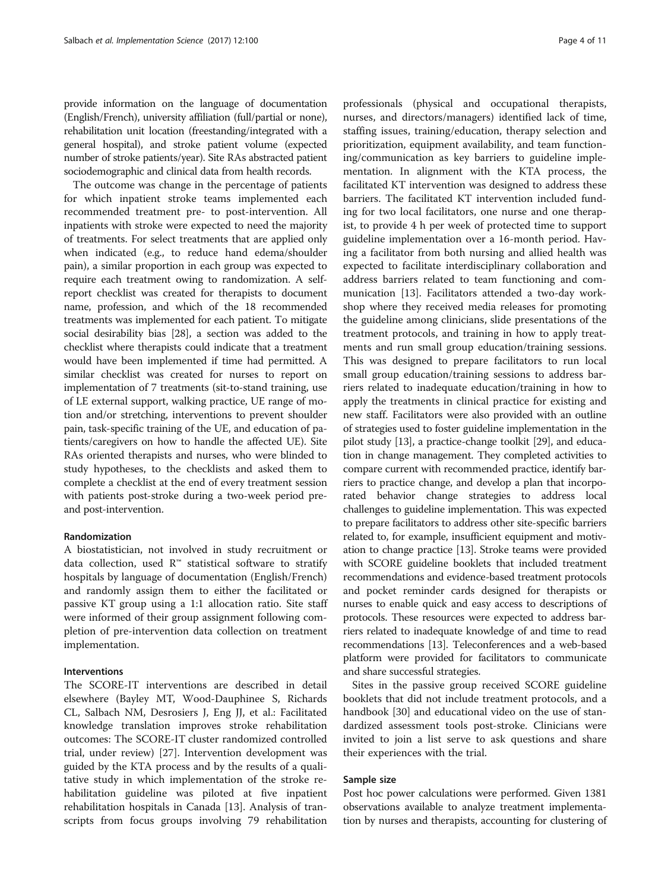provide information on the language of documentation (English/French), university affiliation (full/partial or none), rehabilitation unit location (freestanding/integrated with a general hospital), and stroke patient volume (expected number of stroke patients/year). Site RAs abstracted patient sociodemographic and clinical data from health records.

The outcome was change in the percentage of patients for which inpatient stroke teams implemented each recommended treatment pre- to post-intervention. All inpatients with stroke were expected to need the majority of treatments. For select treatments that are applied only when indicated (e.g., to reduce hand edema/shoulder pain), a similar proportion in each group was expected to require each treatment owing to randomization. A selfreport checklist was created for therapists to document name, profession, and which of the 18 recommended treatments was implemented for each patient. To mitigate social desirability bias [\[28\]](#page-10-0), a section was added to the checklist where therapists could indicate that a treatment would have been implemented if time had permitted. A similar checklist was created for nurses to report on implementation of 7 treatments (sit-to-stand training, use of LE external support, walking practice, UE range of motion and/or stretching, interventions to prevent shoulder pain, task-specific training of the UE, and education of patients/caregivers on how to handle the affected UE). Site RAs oriented therapists and nurses, who were blinded to study hypotheses, to the checklists and asked them to complete a checklist at the end of every treatment session with patients post-stroke during a two-week period preand post-intervention.

### Randomization

A biostatistician, not involved in study recruitment or data collection, used  $\mathbb{R}^m$  statistical software to stratify hospitals by language of documentation (English/French) and randomly assign them to either the facilitated or passive KT group using a 1:1 allocation ratio. Site staff were informed of their group assignment following completion of pre-intervention data collection on treatment implementation.

# Interventions

The SCORE-IT interventions are described in detail elsewhere (Bayley MT, Wood-Dauphinee S, Richards CL, Salbach NM, Desrosiers J, Eng JJ, et al.: Facilitated knowledge translation improves stroke rehabilitation outcomes: The SCORE-IT cluster randomized controlled trial, under review) [\[27](#page-10-0)]. Intervention development was guided by the KTA process and by the results of a qualitative study in which implementation of the stroke rehabilitation guideline was piloted at five inpatient rehabilitation hospitals in Canada [[13\]](#page-10-0). Analysis of transcripts from focus groups involving 79 rehabilitation

professionals (physical and occupational therapists, nurses, and directors/managers) identified lack of time, staffing issues, training/education, therapy selection and prioritization, equipment availability, and team functioning/communication as key barriers to guideline implementation. In alignment with the KTA process, the facilitated KT intervention was designed to address these barriers. The facilitated KT intervention included funding for two local facilitators, one nurse and one therapist, to provide 4 h per week of protected time to support guideline implementation over a 16-month period. Having a facilitator from both nursing and allied health was expected to facilitate interdisciplinary collaboration and address barriers related to team functioning and communication [\[13\]](#page-10-0). Facilitators attended a two-day workshop where they received media releases for promoting the guideline among clinicians, slide presentations of the treatment protocols, and training in how to apply treatments and run small group education/training sessions. This was designed to prepare facilitators to run local small group education/training sessions to address barriers related to inadequate education/training in how to apply the treatments in clinical practice for existing and new staff. Facilitators were also provided with an outline of strategies used to foster guideline implementation in the pilot study [\[13](#page-10-0)], a practice-change toolkit [\[29\]](#page-10-0), and education in change management. They completed activities to compare current with recommended practice, identify barriers to practice change, and develop a plan that incorporated behavior change strategies to address local challenges to guideline implementation. This was expected to prepare facilitators to address other site-specific barriers related to, for example, insufficient equipment and motivation to change practice [\[13\]](#page-10-0). Stroke teams were provided with SCORE guideline booklets that included treatment recommendations and evidence-based treatment protocols and pocket reminder cards designed for therapists or nurses to enable quick and easy access to descriptions of protocols. These resources were expected to address barriers related to inadequate knowledge of and time to read recommendations [\[13\]](#page-10-0). Teleconferences and a web-based platform were provided for facilitators to communicate and share successful strategies.

Sites in the passive group received SCORE guideline booklets that did not include treatment protocols, and a handbook [[30](#page-10-0)] and educational video on the use of standardized assessment tools post-stroke. Clinicians were invited to join a list serve to ask questions and share their experiences with the trial.

# Sample size

Post hoc power calculations were performed. Given 1381 observations available to analyze treatment implementation by nurses and therapists, accounting for clustering of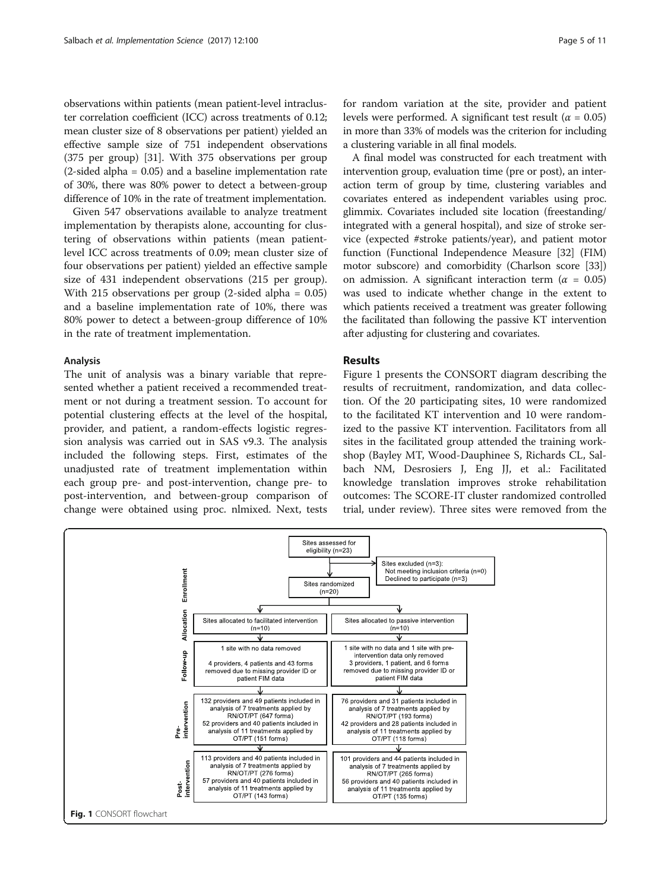observations within patients (mean patient-level intracluster correlation coefficient (ICC) across treatments of 0.12; mean cluster size of 8 observations per patient) yielded an effective sample size of 751 independent observations (375 per group) [[31](#page-10-0)]. With 375 observations per group (2-sided alpha = 0.05) and a baseline implementation rate of 30%, there was 80% power to detect a between-group difference of 10% in the rate of treatment implementation.

Given 547 observations available to analyze treatment implementation by therapists alone, accounting for clustering of observations within patients (mean patientlevel ICC across treatments of 0.09; mean cluster size of four observations per patient) yielded an effective sample size of 431 independent observations (215 per group). With 215 observations per group (2-sided alpha = 0.05) and a baseline implementation rate of 10%, there was 80% power to detect a between-group difference of 10% in the rate of treatment implementation.

### Analysis

The unit of analysis was a binary variable that represented whether a patient received a recommended treatment or not during a treatment session. To account for potential clustering effects at the level of the hospital, provider, and patient, a random-effects logistic regression analysis was carried out in SAS v9.3. The analysis included the following steps. First, estimates of the unadjusted rate of treatment implementation within each group pre- and post-intervention, change pre- to post-intervention, and between-group comparison of change were obtained using proc. nlmixed. Next, tests

for random variation at the site, provider and patient levels were performed. A significant test result ( $\alpha = 0.05$ ) in more than 33% of models was the criterion for including a clustering variable in all final models.

A final model was constructed for each treatment with intervention group, evaluation time (pre or post), an interaction term of group by time, clustering variables and covariates entered as independent variables using proc. glimmix. Covariates included site location (freestanding/ integrated with a general hospital), and size of stroke service (expected #stroke patients/year), and patient motor function (Functional Independence Measure [\[32](#page-10-0)] (FIM) motor subscore) and comorbidity (Charlson score [[33](#page-10-0)]) on admission. A significant interaction term ( $\alpha = 0.05$ ) was used to indicate whether change in the extent to which patients received a treatment was greater following the facilitated than following the passive KT intervention after adjusting for clustering and covariates.

### **Results**

Figure 1 presents the CONSORT diagram describing the results of recruitment, randomization, and data collection. Of the 20 participating sites, 10 were randomized to the facilitated KT intervention and 10 were randomized to the passive KT intervention. Facilitators from all sites in the facilitated group attended the training workshop (Bayley MT, Wood-Dauphinee S, Richards CL, Salbach NM, Desrosiers J, Eng JJ, et al.: Facilitated knowledge translation improves stroke rehabilitation outcomes: The SCORE-IT cluster randomized controlled trial, under review). Three sites were removed from the

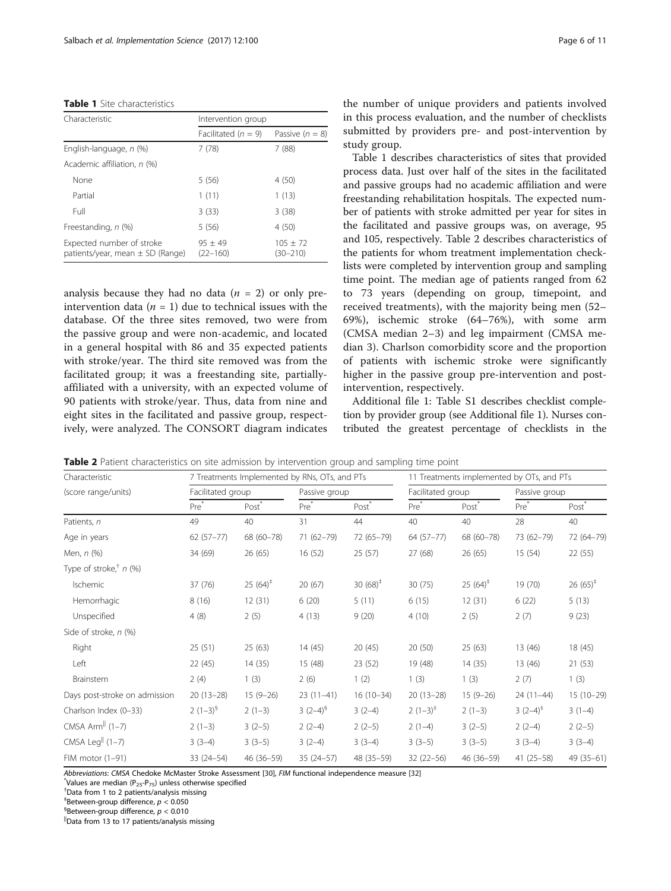### Table 1 Site characteristics

| Characteristic                                                    | Intervention group        |                        |  |  |  |  |
|-------------------------------------------------------------------|---------------------------|------------------------|--|--|--|--|
|                                                                   | Facilitated ( $n = 9$ )   | Passive $(n = 8)$      |  |  |  |  |
| English-language, n (%)                                           | 7 (78)                    | 7(88)                  |  |  |  |  |
| Academic affiliation, n (%)                                       |                           |                        |  |  |  |  |
| None                                                              | 5(56)                     | 4(50)                  |  |  |  |  |
| Partial                                                           | 1(11)                     | 1(13)                  |  |  |  |  |
| Full                                                              | 3(33)                     | 3(38)                  |  |  |  |  |
| Freestanding, n (%)                                               | 5(56)                     | 4 (50)                 |  |  |  |  |
| Expected number of stroke<br>patients/year, mean $\pm$ SD (Range) | $95 + 49$<br>$(22 - 160)$ | $105 + 72$<br>(30–210) |  |  |  |  |

analysis because they had no data  $(n = 2)$  or only preintervention data ( $n = 1$ ) due to technical issues with the database. Of the three sites removed, two were from the passive group and were non-academic, and located in a general hospital with 86 and 35 expected patients with stroke/year. The third site removed was from the facilitated group; it was a freestanding site, partiallyaffiliated with a university, with an expected volume of 90 patients with stroke/year. Thus, data from nine and eight sites in the facilitated and passive group, respectively, were analyzed. The CONSORT diagram indicates the number of unique providers and patients involved in this process evaluation, and the number of checklists submitted by providers pre- and post-intervention by study group.

Table 1 describes characteristics of sites that provided process data. Just over half of the sites in the facilitated and passive groups had no academic affiliation and were freestanding rehabilitation hospitals. The expected number of patients with stroke admitted per year for sites in the facilitated and passive groups was, on average, 95 and 105, respectively. Table 2 describes characteristics of the patients for whom treatment implementation checklists were completed by intervention group and sampling time point. The median age of patients ranged from 62 to 73 years (depending on group, timepoint, and received treatments), with the majority being men (52– 69%), ischemic stroke (64–76%), with some arm (CMSA median 2–3) and leg impairment (CMSA median 3). Charlson comorbidity score and the proportion of patients with ischemic stroke were significantly higher in the passive group pre-intervention and postintervention, respectively.

Additional file [1](#page-9-0): Table S1 describes checklist completion by provider group (see Additional file [1\)](#page-9-0). Nurses contributed the greatest percentage of checklists in the

| Characteristic                       |                   | 7 Treatments Implemented by RNs, OTs, and PTs |                  |                   | 11 Treatments implemented by OTs, and PTs |                     |                  |                     |
|--------------------------------------|-------------------|-----------------------------------------------|------------------|-------------------|-------------------------------------------|---------------------|------------------|---------------------|
| (score range/units)                  | Facilitated group |                                               | Passive group    |                   | Facilitated group                         |                     | Passive group    |                     |
|                                      | Pre <sup>*</sup>  | Post <sup>*</sup>                             | Pre <sup>*</sup> | Post <sup>*</sup> | Pre <sup>*</sup>                          | Post                | Pre <sup>*</sup> | Post                |
| Patients, n                          | 49                | 40                                            | 31               | 44                | 40                                        | 40                  | 28               | 40                  |
| Age in years                         | $62(57-77)$       | 68 (60-78)                                    | 71 (62-79)       | 72 (65-79)        | $64(57-77)$                               | 68 (60-78)          | 73 (62-79)       | 72 (64-79)          |
| Men, n (%)                           | 34 (69)           | 26(65)                                        | 16 (52)          | 25(57)            | 27 (68)                                   | 26(65)              | 15(54)           | 22 (55)             |
| Type of stroke, <sup>†</sup> $n$ (%) |                   |                                               |                  |                   |                                           |                     |                  |                     |
| Ischemic                             | 37 (76)           | $25(64)^{\ddagger}$                           | 20(67)           | 30 $(68)^+$       | 30(75)                                    | $25(64)^{\ddagger}$ | 19 (70)          | $26(65)^{\ddagger}$ |
| Hemorrhagic                          | 8(16)             | 12(31)                                        | 6(20)            | 5(11)             | 6(15)                                     | 12(31)              | 6(22)            | 5(13)               |
| Unspecified                          | 4(8)              | 2(5)                                          | 4(13)            | 9(20)             | 4(10)                                     | 2(5)                | 2(7)             | 9(23)               |
| Side of stroke, n (%)                |                   |                                               |                  |                   |                                           |                     |                  |                     |
| Right                                | 25(51)            | 25(63)                                        | 14(45)           | 20(45)            | 20(50)                                    | 25(63)              | 13 (46)          | 18 (45)             |
| Left                                 | 22 (45)           | 14(35)                                        | 15 (48)          | 23 (52)           | 19 (48)                                   | 14(35)              | 13 (46)          | 21(53)              |
| Brainstem                            | 2(4)              | 1(3)                                          | 2(6)             | 1(2)              | 1(3)                                      | 1(3)                | 2(7)             | 1(3)                |
| Days post-stroke on admission        | $20(13-28)$       | $15(9-26)$                                    | $23(11-41)$      | $16(10-34)$       | $20(13-28)$                               | $15(9-26)$          | $24(11-44)$      | $15(10-29)$         |
| Charlson Index (0-33)                | $2(1-3)^{5}$      | $2(1-3)$                                      | $3(2-4)^{9}$     | $3(2-4)$          | $2(1-3)^{*}$                              | $2(1-3)$            | $3(2-4)^+$       | $3(1-4)$            |
| CMSA Arm <sup>II</sup> $(1-7)$       | $2(1-3)$          | $3(2-5)$                                      | $2(2-4)$         | $2(2-5)$          | $2(1-4)$                                  | $3(2-5)$            | $2(2-4)$         | $2(2-5)$            |
| CMSA Leg <sup>II</sup> (1-7)         | $3(3-4)$          | $3(3-5)$                                      | $3(2-4)$         | $3(3-4)$          | $3(3-5)$                                  | $3(3-5)$            | $3(3-4)$         | $3(3-4)$            |
| FIM motor (1-91)                     | $33(24 - 54)$     | 46 (36-59)                                    | $35(24-57)$      | 48 (35-59)        | $32(22 - 56)$                             | 46 (36-59)          | $41(25-58)$      | 49 (35-61)          |

**Table 2** Patient characteristics on site admission by intervention group and sampling time point

Abbreviations: CMSA Chedoke McMaster Stroke Assessment [\[30](#page-10-0)], FIM functional independence measure [[32](#page-10-0)]

Values are median ( $P_{25}$ - $P_{75}$ ) unless otherwise specified

Data from 1 to 2 patients/analysis missing

 $^6$ Between-group difference,  $p < 0.010$ 

||Data from 13 to 17 patients/analysis missing

<sup>&</sup>lt;sup>‡</sup>Between-group difference,  $p < 0.050$ <br><sup>§</sup>Between group difference, n < 0.010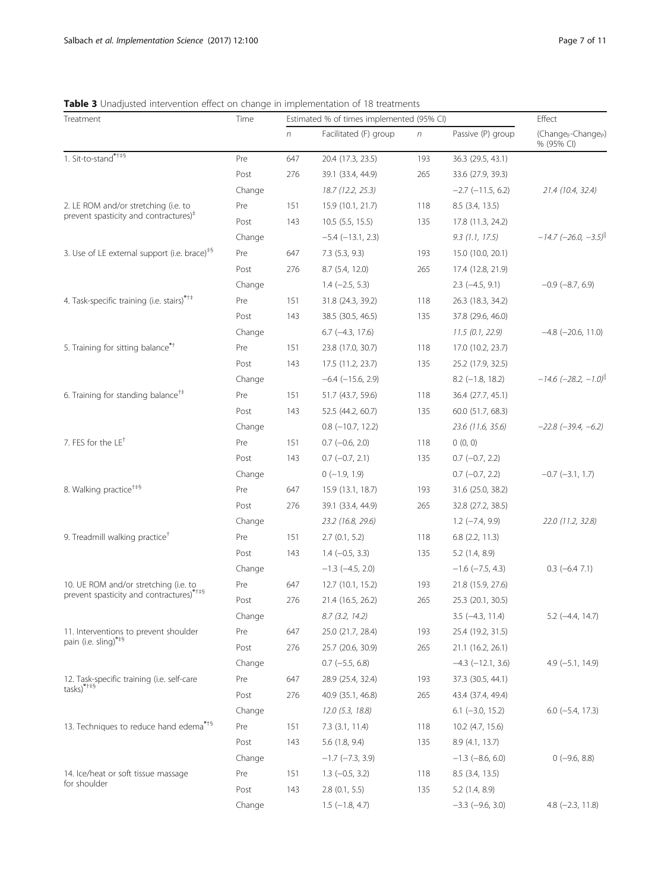# <span id="page-6-0"></span>Table 3 Unadjusted intervention effect on change in implementation of 18 treatments

| Treatment                                                                                    | Time   | Estimated % of times implemented (95% CI) |                         |            |                          | Effect                                                    |  |
|----------------------------------------------------------------------------------------------|--------|-------------------------------------------|-------------------------|------------|--------------------------|-----------------------------------------------------------|--|
|                                                                                              |        | n                                         | Facilitated (F) group   | $\sqrt{n}$ | Passive (P) group        | (Change <sub>F</sub> -Change <sub>P</sub> )<br>% (95% CI) |  |
| 1. Sit-to-stand****                                                                          | Pre    | 647                                       | 20.4 (17.3, 23.5)       | 193        | 36.3 (29.5, 43.1)        |                                                           |  |
|                                                                                              | Post   | 276                                       | 39.1 (33.4, 44.9)       | 265        | 33.6 (27.9, 39.3)        |                                                           |  |
|                                                                                              | Change |                                           | 18.7 (12.2, 25.3)       |            | $-2.7$ ( $-11.5$ , 6.2)  | 21.4 (10.4, 32.4)                                         |  |
| 2. LE ROM and/or stretching (i.e. to<br>prevent spasticity and contractures) <sup>#</sup>    | Pre    | 151                                       | 15.9 (10.1, 21.7)       | 118        | $8.5$ (3.4, 13.5)        |                                                           |  |
|                                                                                              | Post   | 143                                       | $10.5$ (5.5, 15.5)      | 135        | 17.8 (11.3, 24.2)        |                                                           |  |
|                                                                                              | Change |                                           | $-5.4$ ( $-13.1$ , 2.3) |            | 9.3(1.1, 17.5)           | $-14.7$ (-26.0, -3.5) <sup>  </sup>                       |  |
| 3. Use of LE external support (i.e. brace) <sup><math>#</math>§</sup>                        | Pre    | 647                                       | 7.3(5.3, 9.3)           | 193        | 15.0 (10.0, 20.1)        |                                                           |  |
|                                                                                              | Post   | 276                                       | 8.7(5.4, 12.0)          | 265        | 17.4 (12.8, 21.9)        |                                                           |  |
|                                                                                              | Change |                                           | $1.4 (-2.5, 5.3)$       |            | $2.3$ (-4.5, 9.1)        | $-0.9$ $(-8.7, 6.9)$                                      |  |
| 4. Task-specific training (i.e. stairs)* <sup>*†</sup>                                       | Pre    | 151                                       | 31.8 (24.3, 39.2)       | 118        | 26.3 (18.3, 34.2)        |                                                           |  |
|                                                                                              | Post   | 143                                       | 38.5 (30.5, 46.5)       | 135        | 37.8 (29.6, 46.0)        |                                                           |  |
|                                                                                              | Change |                                           | $6.7$ ( $-4.3$ , 17.6)  |            | 11.5(0.1, 22.9)          | $-4.8$ ( $-20.6$ , 11.0)                                  |  |
| 5. Training for sitting balance*+                                                            | Pre    | 151                                       | 23.8 (17.0, 30.7)       | 118        | 17.0 (10.2, 23.7)        |                                                           |  |
|                                                                                              | Post   | 143                                       | 17.5 (11.2, 23.7)       | 135        | 25.2 (17.9, 32.5)        |                                                           |  |
|                                                                                              | Change |                                           | $-6.4$ ( $-15.6$ , 2.9) |            | $8.2$ (-1.8, 18.2)       | $-14.6$ (-28.2, -1.0) <sup>  </sup>                       |  |
| 6. Training for standing balance <sup>†‡</sup>                                               | Pre    | 151                                       | 51.7 (43.7, 59.6)       | 118        | 36.4 (27.7, 45.1)        |                                                           |  |
|                                                                                              | Post   | 143                                       | 52.5 (44.2, 60.7)       | 135        | 60.0 (51.7, 68.3)        |                                                           |  |
|                                                                                              | Change |                                           | $0.8$ ( $-10.7$ , 12.2) |            | 23.6 (11.6, 35.6)        | $-22.8$ $(-39.4, -6.2)$                                   |  |
| 7. FES for the LE <sup>+</sup>                                                               | Pre    | 151                                       | $0.7$ (-0.6, 2.0)       | 118        | 0(0, 0)                  |                                                           |  |
|                                                                                              | Post   | 143                                       | $0.7$ (-0.7, 2.1)       | 135        | $0.7$ ( $-0.7$ , 2.2)    |                                                           |  |
|                                                                                              | Change |                                           | $0(-1.9, 1.9)$          |            | $0.7$ ( $-0.7$ , 2.2)    | $-0.7$ $(-3.1, 1.7)$                                      |  |
| 8. Walking practice <sup>+‡§</sup>                                                           | Pre    | 647                                       | 15.9 (13.1, 18.7)       | 193        | 31.6 (25.0, 38.2)        |                                                           |  |
|                                                                                              | Post   | 276                                       | 39.1 (33.4, 44.9)       | 265        | 32.8 (27.2, 38.5)        |                                                           |  |
|                                                                                              | Change |                                           | 23.2 (16.8, 29.6)       |            | $1.2$ ( $-7.4$ , $9.9$ ) | 22.0 (11.2, 32.8)                                         |  |
| 9. Treadmill walking practice <sup>+</sup>                                                   | Pre    | 151                                       | 2.7(0.1, 5.2)           | 118        | $6.8$ $(2.2, 11.3)$      |                                                           |  |
|                                                                                              | Post   | 143                                       | $1.4 (-0.5, 3.3)$       | 135        | 5.2(1.4, 8.9)            |                                                           |  |
|                                                                                              | Change |                                           | $-1.3$ ( $-4.5$ , 2.0)  |            | $-1.6$ ( $-7.5$ , 4.3)   | $0.3$ (-6.4 7.1)                                          |  |
| 10. UE ROM and/or stretching (i.e. to<br>prevent spasticity and contractures)****            | Pre    | 647                                       | 12.7 (10.1, 15.2)       | 193        | 21.8 (15.9, 27.6)        |                                                           |  |
|                                                                                              | Post   | 276                                       | 21.4 (16.5, 26.2)       | 265        | 25.3 (20.1, 30.5)        |                                                           |  |
|                                                                                              | Change |                                           | 8.7(3.2, 14.2)          |            | $3.5$ ( $-4.3$ , 11.4)   | $5.2$ (-4.4, 14.7)                                        |  |
| 11. Interventions to prevent shoulder                                                        | Pre    | 647                                       | 25.0 (21.7, 28.4)       | 193        | 25.4 (19.2, 31.5)        |                                                           |  |
| pain (i.e. sling)***                                                                         | Post   | 276                                       | 25.7 (20.6, 30.9)       | 265        | 21.1 (16.2, 26.1)        |                                                           |  |
|                                                                                              | Change |                                           | $0.7$ (-5.5, 6.8)       |            | $-4.3$ $(-12.1, 3.6)$    | $4.9$ (-5.1, 14.9)                                        |  |
| 12. Task-specific training (i.e. self-care<br>$\text{tasks}$ <sup>*+<math>\ast</math>§</sup> | Pre    | 647                                       | 28.9 (25.4, 32.4)       | 193        | 37.3 (30.5, 44.1)        |                                                           |  |
|                                                                                              | Post   | 276                                       | 40.9 (35.1, 46.8)       | 265        | 43.4 (37.4, 49.4)        |                                                           |  |
|                                                                                              | Change |                                           | 12.0(5.3, 18.8)         |            | $6.1$ (-3.0, 15.2)       | $6.0$ ( $-5.4$ , 17.3)                                    |  |
| 13. Techniques to reduce hand edema* <sup>+5</sup>                                           | Pre    | 151                                       | $7.3$ $(3.1, 11.4)$     | 118        | 10.2 (4.7, 15.6)         |                                                           |  |
|                                                                                              | Post   | 143                                       | $5.6$ (1.8, 9.4)        | 135        | 8.9 (4.1, 13.7)          |                                                           |  |
|                                                                                              | Change |                                           | $-1.7$ ( $-7.3$ , 3.9)  |            | $-1.3$ $(-8.6, 6.0)$     | $0$ (-9.6, 8.8)                                           |  |
| 14. Ice/heat or soft tissue massage                                                          | Pre    | 151                                       | $1.3$ (-0.5, 3.2)       | 118        | 8.5 (3.4, 13.5)          |                                                           |  |
| for shoulder                                                                                 | Post   | 143                                       | $2.8$ (0.1, 5.5)        | 135        | 5.2 (1.4, 8.9)           |                                                           |  |
|                                                                                              | Change |                                           | $1.5$ (-1.8, 4.7)       |            | $-3.3$ $(-9.6, 3.0)$     | $4.8$ ( $-2.3$ , 11.8)                                    |  |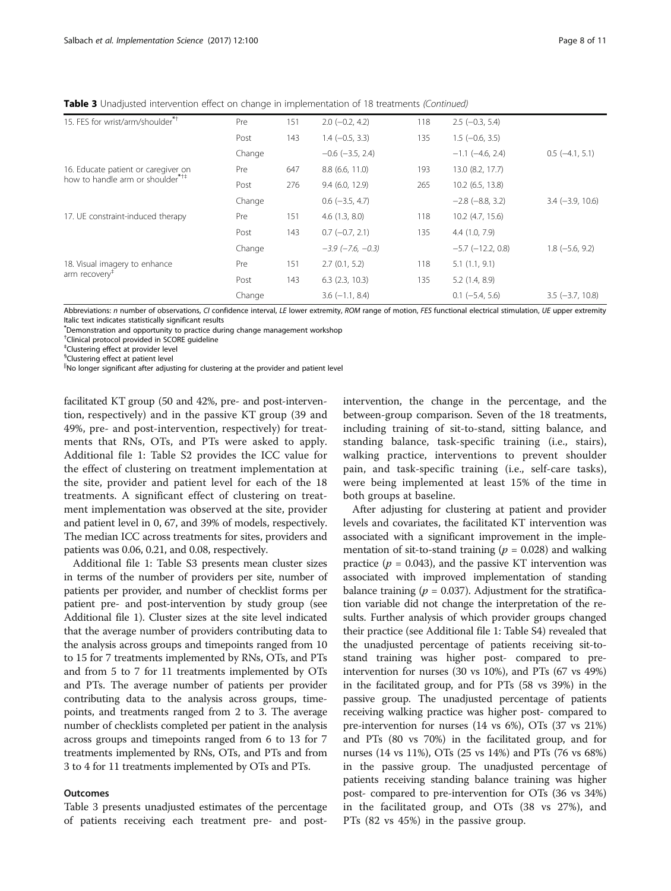**Table 3** Unadjusted intervention effect on change in implementation of 18 treatments (Continued)

| 15. FES for wrist/arm/shoulder <sup>*+</sup>                                        | Pre    | 151 | $2.0$ (-0.2, 4.2)          | 118 | $2.5$ (-0.3, 5.4)      |                        |
|-------------------------------------------------------------------------------------|--------|-----|----------------------------|-----|------------------------|------------------------|
|                                                                                     | Post   | 143 | $1.4 (-0.5, 3.3)$          | 135 | $1.5(-0.6, 3.5)$       |                        |
|                                                                                     | Change |     | $-0.6$ ( $-3.5$ , 2.4)     |     | $-1.1$ ( $-4.6$ , 2.4) | $0.5$ ( $-4.1$ , 5.1)  |
| 16. Educate patient or caregiver on<br>how to handle arm or shoulder <sup>*†‡</sup> | Pre    | 647 | 8.8(6.6, 11.0)             | 193 | 13.0 (8.2, 17.7)       |                        |
|                                                                                     | Post   | 276 | 9.4(6.0, 12.9)             | 265 | $10.2$ (6.5, 13.8)     |                        |
|                                                                                     | Change |     | $0.6$ (-3.5, 4.7)          |     | $-2.8$ $(-8.8, 3.2)$   | $3.4 (-3.9, 10.6)$     |
| 17. UE constraint-induced therapy                                                   | Pre    | 151 | 4.6(1.3, 8.0)              | 118 | $10.2$ (4.7, 15.6)     |                        |
|                                                                                     | Post   | 143 | $0.7(-0.7, 2.1)$           | 135 | 4.4(1.0, 7.9)          |                        |
|                                                                                     | Change |     | $-3.9$ ( $-7.6$ , $-0.3$ ) |     | $-5.7$ $(-12.2, 0.8)$  | $1.8(-5.6, 9.2)$       |
| 18. Visual imagery to enhance<br>arm recovery <sup>#</sup>                          | Pre    | 151 | 2.7(0.1, 5.2)              | 118 | 5.1(1.1, 9.1)          |                        |
|                                                                                     | Post   | 143 | $6.3$ $(2.3, 10.3)$        | 135 | 5.2(1.4, 8.9)          |                        |
|                                                                                     | Change |     | $3.6(-1.1, 8.4)$           |     | $0.1$ (-5.4, 5.6)      | $3.5$ ( $-3.7$ , 10.8) |

Abbreviations: n number of observations, CI confidence interval, LE lower extremity, ROM range of motion, FES functional electrical stimulation, UE upper extremity Italic text indicates statistically significant results

\* Demonstration and opportunity to practice during change management workshop

† Clinical protocol provided in SCORE guideline

‡ Clustering effect at provider level

§ Clustering effect at patient level

||No longer significant after adjusting for clustering at the provider and patient level

facilitated KT group (50 and 42%, pre- and post-intervention, respectively) and in the passive KT group (39 and 49%, pre- and post-intervention, respectively) for treatments that RNs, OTs, and PTs were asked to apply. Additional file [1](#page-9-0): Table S2 provides the ICC value for the effect of clustering on treatment implementation at the site, provider and patient level for each of the 18 treatments. A significant effect of clustering on treatment implementation was observed at the site, provider and patient level in 0, 67, and 39% of models, respectively. The median ICC across treatments for sites, providers and patients was 0.06, 0.21, and 0.08, respectively.

Additional file [1](#page-9-0): Table S3 presents mean cluster sizes in terms of the number of providers per site, number of patients per provider, and number of checklist forms per patient pre- and post-intervention by study group (see Additional file [1](#page-9-0)). Cluster sizes at the site level indicated that the average number of providers contributing data to the analysis across groups and timepoints ranged from 10 to 15 for 7 treatments implemented by RNs, OTs, and PTs and from 5 to 7 for 11 treatments implemented by OTs and PTs. The average number of patients per provider contributing data to the analysis across groups, timepoints, and treatments ranged from 2 to 3. The average number of checklists completed per patient in the analysis across groups and timepoints ranged from 6 to 13 for 7 treatments implemented by RNs, OTs, and PTs and from 3 to 4 for 11 treatments implemented by OTs and PTs.

# Outcomes

Table [3](#page-6-0) presents unadjusted estimates of the percentage of patients receiving each treatment pre- and postintervention, the change in the percentage, and the between-group comparison. Seven of the 18 treatments, including training of sit-to-stand, sitting balance, and standing balance, task-specific training (i.e., stairs), walking practice, interventions to prevent shoulder pain, and task-specific training (i.e., self-care tasks), were being implemented at least 15% of the time in both groups at baseline.

After adjusting for clustering at patient and provider levels and covariates, the facilitated KT intervention was associated with a significant improvement in the implementation of sit-to-stand training ( $p = 0.028$ ) and walking practice ( $p = 0.043$ ), and the passive KT intervention was associated with improved implementation of standing balance training ( $p = 0.037$ ). Adjustment for the stratification variable did not change the interpretation of the results. Further analysis of which provider groups changed their practice (see Additional file [1:](#page-9-0) Table S4) revealed that the unadjusted percentage of patients receiving sit-tostand training was higher post- compared to preintervention for nurses (30 vs 10%), and PTs (67 vs 49%) in the facilitated group, and for PTs (58 vs 39%) in the passive group. The unadjusted percentage of patients receiving walking practice was higher post- compared to pre-intervention for nurses (14 vs 6%), OTs (37 vs 21%) and PTs (80 vs 70%) in the facilitated group, and for nurses (14 vs 11%), OTs (25 vs 14%) and PTs (76 vs 68%) in the passive group. The unadjusted percentage of patients receiving standing balance training was higher post- compared to pre-intervention for OTs (36 vs 34%) in the facilitated group, and OTs (38 vs 27%), and PTs (82 vs 45%) in the passive group.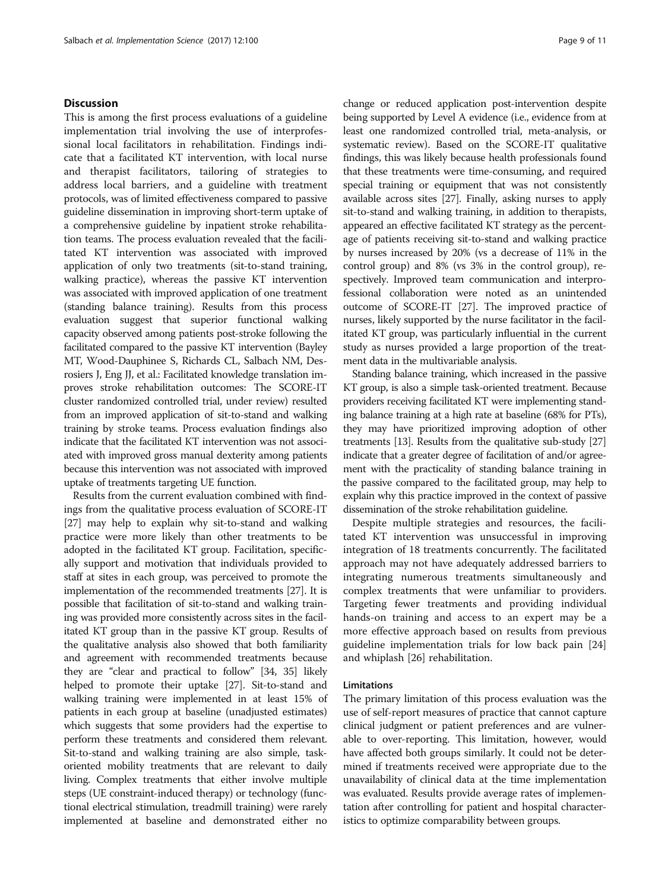# **Discussion**

This is among the first process evaluations of a guideline implementation trial involving the use of interprofessional local facilitators in rehabilitation. Findings indicate that a facilitated KT intervention, with local nurse and therapist facilitators, tailoring of strategies to address local barriers, and a guideline with treatment protocols, was of limited effectiveness compared to passive guideline dissemination in improving short-term uptake of a comprehensive guideline by inpatient stroke rehabilitation teams. The process evaluation revealed that the facilitated KT intervention was associated with improved application of only two treatments (sit-to-stand training, walking practice), whereas the passive KT intervention was associated with improved application of one treatment (standing balance training). Results from this process evaluation suggest that superior functional walking capacity observed among patients post-stroke following the facilitated compared to the passive KT intervention (Bayley MT, Wood-Dauphinee S, Richards CL, Salbach NM, Desrosiers J, Eng JJ, et al.: Facilitated knowledge translation improves stroke rehabilitation outcomes: The SCORE-IT cluster randomized controlled trial, under review) resulted from an improved application of sit-to-stand and walking training by stroke teams. Process evaluation findings also indicate that the facilitated KT intervention was not associated with improved gross manual dexterity among patients because this intervention was not associated with improved uptake of treatments targeting UE function.

Results from the current evaluation combined with findings from the qualitative process evaluation of SCORE-IT [[27](#page-10-0)] may help to explain why sit-to-stand and walking practice were more likely than other treatments to be adopted in the facilitated KT group. Facilitation, specifically support and motivation that individuals provided to staff at sites in each group, was perceived to promote the implementation of the recommended treatments [\[27](#page-10-0)]. It is possible that facilitation of sit-to-stand and walking training was provided more consistently across sites in the facilitated KT group than in the passive KT group. Results of the qualitative analysis also showed that both familiarity and agreement with recommended treatments because they are "clear and practical to follow" [\[34, 35](#page-10-0)] likely helped to promote their uptake [\[27](#page-10-0)]. Sit-to-stand and walking training were implemented in at least 15% of patients in each group at baseline (unadjusted estimates) which suggests that some providers had the expertise to perform these treatments and considered them relevant. Sit-to-stand and walking training are also simple, taskoriented mobility treatments that are relevant to daily living. Complex treatments that either involve multiple steps (UE constraint-induced therapy) or technology (functional electrical stimulation, treadmill training) were rarely implemented at baseline and demonstrated either no

change or reduced application post-intervention despite being supported by Level A evidence (i.e., evidence from at least one randomized controlled trial, meta-analysis, or systematic review). Based on the SCORE-IT qualitative findings, this was likely because health professionals found that these treatments were time-consuming, and required special training or equipment that was not consistently available across sites [\[27\]](#page-10-0). Finally, asking nurses to apply sit-to-stand and walking training, in addition to therapists, appeared an effective facilitated KT strategy as the percentage of patients receiving sit-to-stand and walking practice by nurses increased by 20% (vs a decrease of 11% in the control group) and 8% (vs 3% in the control group), respectively. Improved team communication and interprofessional collaboration were noted as an unintended outcome of SCORE-IT [[27](#page-10-0)]. The improved practice of nurses, likely supported by the nurse facilitator in the facilitated KT group, was particularly influential in the current study as nurses provided a large proportion of the treatment data in the multivariable analysis.

Standing balance training, which increased in the passive KT group, is also a simple task-oriented treatment. Because providers receiving facilitated KT were implementing standing balance training at a high rate at baseline (68% for PTs), they may have prioritized improving adoption of other treatments [[13](#page-10-0)]. Results from the qualitative sub-study [\[27](#page-10-0)] indicate that a greater degree of facilitation of and/or agreement with the practicality of standing balance training in the passive compared to the facilitated group, may help to explain why this practice improved in the context of passive dissemination of the stroke rehabilitation guideline.

Despite multiple strategies and resources, the facilitated KT intervention was unsuccessful in improving integration of 18 treatments concurrently. The facilitated approach may not have adequately addressed barriers to integrating numerous treatments simultaneously and complex treatments that were unfamiliar to providers. Targeting fewer treatments and providing individual hands-on training and access to an expert may be a more effective approach based on results from previous guideline implementation trials for low back pain [[24](#page-10-0)] and whiplash [[26\]](#page-10-0) rehabilitation.

### Limitations

The primary limitation of this process evaluation was the use of self-report measures of practice that cannot capture clinical judgment or patient preferences and are vulnerable to over-reporting. This limitation, however, would have affected both groups similarly. It could not be determined if treatments received were appropriate due to the unavailability of clinical data at the time implementation was evaluated. Results provide average rates of implementation after controlling for patient and hospital characteristics to optimize comparability between groups.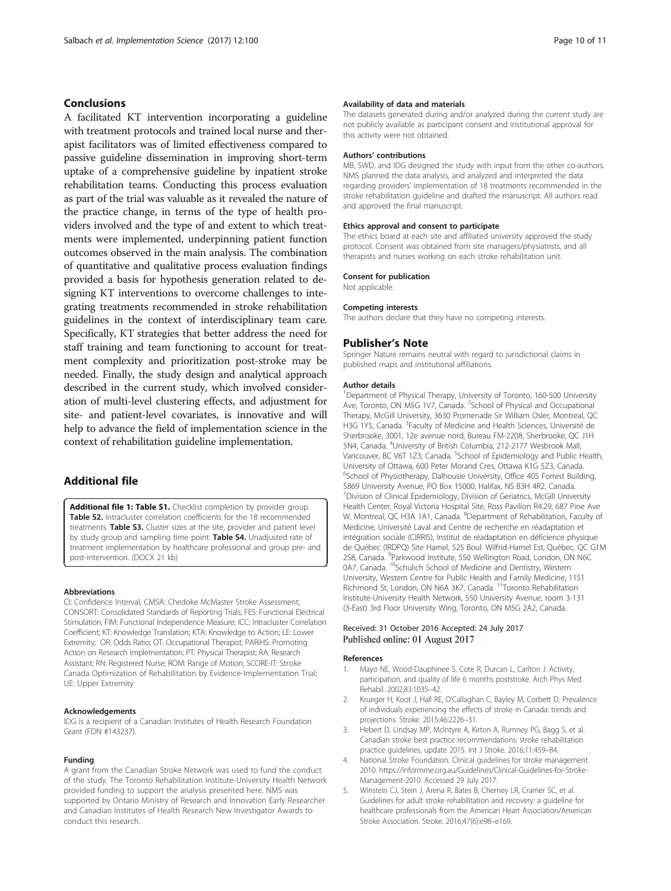# <span id="page-9-0"></span>Conclusions

A facilitated KT intervention incorporating a guideline with treatment protocols and trained local nurse and therapist facilitators was of limited effectiveness compared to passive guideline dissemination in improving short-term uptake of a comprehensive guideline by inpatient stroke rehabilitation teams. Conducting this process evaluation as part of the trial was valuable as it revealed the nature of the practice change, in terms of the type of health providers involved and the type of and extent to which treatments were implemented, underpinning patient function outcomes observed in the main analysis. The combination of quantitative and qualitative process evaluation findings provided a basis for hypothesis generation related to designing KT interventions to overcome challenges to integrating treatments recommended in stroke rehabilitation guidelines in the context of interdisciplinary team care. Specifically, KT strategies that better address the need for staff training and team functioning to account for treatment complexity and prioritization post-stroke may be needed. Finally, the study design and analytical approach described in the current study, which involved consideration of multi-level clustering effects, and adjustment for site- and patient-level covariates, is innovative and will help to advance the field of implementation science in the context of rehabilitation guideline implementation.

# Additional file

[Additional file 1: Table S1.](dx.doi.org/10.1186/s13012-017-0631-7) Checklist completion by provider group. Table S2. Intracluster correlation coefficients for the 18 recommended treatments. Table S3. Cluster sizes at the site, provider and patient level by study group and sampling time point. Table S4. Unadjusted rate of treatment implementation by healthcare professional and group pre- and post-intervention. (DOCX 21 kb)

#### Abbreviations

CI: Confidence Interval; CMSA: Chedoke McMaster Stroke Assessment; CONSORT: Consolidated Standards of Reporting Trials; FES: Functional Electrical Stimulation; FIM: Functional Independence Measure; ICC: Intracluster Correlation Coefficient; KT: Knowledge Translation; KTA: Knowledge to Action; LE: Lower Extremity; OR: Odds Ratio; OT: Occupational Therapist; PARiHS: Promoting Action on Research Implementation; PT: Physical Therapist; RA: Research Assistant; RN: Registered Nurse; ROM: Range of Motion; SCORE-IT: Stroke Canada Optimization of Rehabilitation by Evidence-Implementation Trial; UE: Upper Extremity

#### Acknowledgements

IDG is a recipient of a Canadian Institutes of Health Research Foundation Grant (FDN #143237).

#### Funding

A grant from the Canadian Stroke Network was used to fund the conduct of the study. The Toronto Rehabilitation Institute-University Health Network provided funding to support the analysis presented here. NMS was supported by Ontario Ministry of Research and Innovation Early Researcher and Canadian Institutes of Health Research New Investigator Awards to conduct this research.

#### Availability of data and materials

The datasets generated during and/or analyzed during the current study are not publicly available as participant consent and institutional approval for this activity were not obtained.

#### Authors' contributions

MB, SWD, and IDG designed the study with input from the other co-authors. NMS planned the data analysis, and analyzed and interpreted the data regarding providers' implementation of 18 treatments recommended in the stroke rehabilitation guideline and drafted the manuscript. All authors read and approved the final manuscript.

### Ethics approval and consent to participate

The ethics board at each site and affiliated university approved the study protocol. Consent was obtained from site managers/physiatrists, and all therapists and nurses working on each stroke rehabilitation unit.

#### Consent for publication

Not applicable.

#### Competing interests

The authors declare that they have no competing interests.

## Publisher's Note

Springer Nature remains neutral with regard to jurisdictional claims in published maps and institutional affiliations.

#### Author details

<sup>1</sup>Department of Physical Therapy, University of Toronto, 160-500 University Ave, Toronto, ON M5G 1V7, Canada. <sup>2</sup>School of Physical and Occupational Therapy, McGill University, 3630 Promenade Sir William Osler, Montreal, QC H3G 1Y5, Canada. <sup>3</sup>Faculty of Medicine and Health Sciences, Université de Sherbrooke, 3001, 12e avenue nord, Bureau FM-2208, Sherbrooke, QC J1H 5N4, Canada. <sup>4</sup>University of British Columbia, 212-2177 Wesbrook Mall Vancouver, BC V6T 1Z3, Canada. <sup>5</sup>School of Epidemiology and Public Health University of Ottawa, 600 Peter Morand Cres, Ottawa K1G 5Z3, Canada. <sup>6</sup>School of Physiotherapy, Dalhousie University, Office 405 Forrest Building, 5869 University Avenue, PO Box 15000, Halifax, NS B3H 4R2, Canada. <sup>7</sup> Division of Clinical Epidemiology, Division of Geriatrics, McGill University Health Center, Royal Victoria Hospital Site, Ross Pavilion R4.29, 687 Pine Ave W, Montreal, QC H3A 1A1, Canada. <sup>8</sup>Department of Rehabilitation, Faculty of Medicine, Université Laval and Centre de recherche en réadaptation et intégration sociale (CIRRIS), Institut de réadaptation en déficience physique de Québec (IRDPQ) Site Hamel, 525 Boul. Wilfrid-Hamel Est, Québec, QC G1M 2S8, Canada. <sup>9</sup>Parkwood Institute, 550 Wellington Road, London, ON N6C 0A7, Canada. <sup>10</sup>Schulich School of Medicine and Dentistry, Western University, Western Centre for Public Health and Family Medicine, 1151 Richmond St, London, ON N6A 3K7, Canada. 11Toronto Rehabilitation Institute-University Health Network, 550 University Avenue, room 3-131 (3-East) 3rd Floor University Wing, Toronto, ON M5G 2A2, Canada.

### Received: 31 October 2016 Accepted: 24 July 2017 Published online: 01 August 2017

#### References

- 1. Mayo NE, Wood-Dauphinee S, Cote R, Durcan L, Carlton J. Activity, participation, and quality of life 6 months poststroke. Arch Phys Med Rehabil. 2002;83:1035–42.
- 2. Krueger H, Koot J, Hall RE, O'Callaghan C, Bayley M, Corbett D. Prevalence of individuals experiencing the effects of stroke in Canada: trends and projections. Stroke. 2015;46:2226–31.
- Hebert D, Lindsay MP, McIntyre A, Kirton A, Rumney PG, Bagg S, et al. Canadian stroke best practice recommendations: stroke rehabilitation practice guidelines, update 2015. Int J Stroke. 2016;11:459–84.
- 4. National Stroke Foundation. Clinical guidelines for stroke management. 2010. [https://informme.org.au/Guidelines/Clinical-Guidelines-for-Stroke-](https://informme.org.au/Guidelines/Clinical-Guidelines-for-Stroke-Management-2010)[Management-2010](https://informme.org.au/Guidelines/Clinical-Guidelines-for-Stroke-Management-2010). Accessed 29 July 2017.
- 5. Winstein CJ, Stein J, Arena R, Bates B, Cherney LR, Cramer SC, et al. Guidelines for adult stroke rehabilitation and recovery: a guideline for healthcare professionals from the American Heart Association/American Stroke Association. Stroke. 2016;47(6):e98–e169.